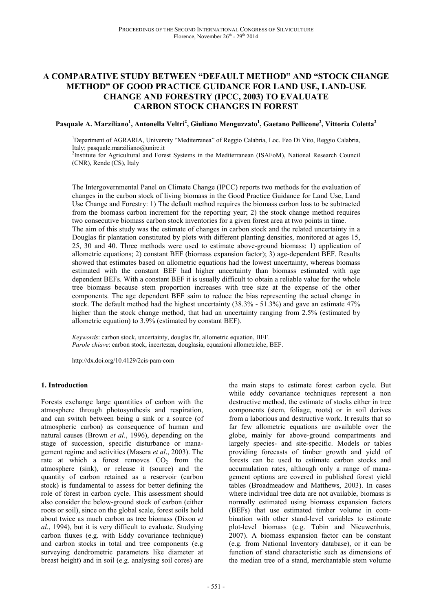# **A COMPARATIVE STUDY BETWEEN "DEFAULT METHOD" AND "STOCK CHANGE METHOD" OF GOOD PRACTICE GUIDANCE FOR LAND USE, LAND-USE CHANGE AND FORESTRY (IPCC, 2003) TO EVALUATE CARBON STOCK CHANGES IN FOREST**

**Pasquale A. Marziliano<sup>1</sup> , Antonella Veltri<sup>2</sup> , Giuliano Menguzzato<sup>1</sup> , Gaetano Pellicone<sup>2</sup> , Vittoria Coletta<sup>2</sup>**

<sup>1</sup>Department of AGRARIA, University "Mediterranea" of Reggio Calabria, Loc. Feo Di Vito, Reggio Calabria, Italy; pasquale.marziliano@unirc.it

<sup>2</sup>Institute for Agricultural and Forest Systems in the Mediterranean (ISAFoM), National Research Council (CNR), Rende (CS), Italy

The Intergovernmental Panel on Climate Change (IPCC) reports two methods for the evaluation of changes in the carbon stock of living biomass in the Good Practice Guidance for Land Use, Land Use Change and Forestry: 1) The default method requires the biomass carbon loss to be subtracted from the biomass carbon increment for the reporting year; 2) the stock change method requires two consecutive biomass carbon stock inventories for a given forest area at two points in time. The aim of this study was the estimate of changes in carbon stock and the related uncertainty in a Douglas fir plantation constituted by plots with different planting densities, monitored at ages 15, 25, 30 and 40. Three methods were used to estimate above-ground biomass: 1) application of allometric equations; 2) constant BEF (biomass expansion factor); 3) age-dependent BEF. Results showed that estimates based on allometric equations had the lowest uncertainty, whereas biomass estimated with the constant BEF had higher uncertainty than biomass estimated with age dependent BEFs. With a constant BEF it is usually difficult to obtain a reliable value for the whole tree biomass because stem proportion increases with tree size at the expense of the other components. The age dependent BEF saim to reduce the bias representing the actual change in stock. The default method had the highest uncertainty (38.3% - 51.3%) and gave an estimate 47% higher than the stock change method, that had an uncertainty ranging from 2.5% (estimated by allometric equation) to 3.9% (estimated by constant BEF).

*Keywords*: carbon stock, uncertainty, douglas fir, allometric equation, BEF. *Parole chiave*: carbon stock, incertezza, douglasia, equazioni allometriche, BEF.

http://dx.doi.org/10.4129/2cis-pam-com

#### **1. Introduction**

Forests exchange large quantities of carbon with the atmosphere through photosynthesis and respiration, and can switch between being a sink or a source (of atmospheric carbon) as consequence of human and natural causes (Brown *et al*., 1996), depending on the stage of succession, specific disturbance or management regime and activities (Masera *et al*., 2003). The rate at which a forest removes  $CO<sub>2</sub>$  from the atmosphere (sink), or release it (source) and the quantity of carbon retained as a reservoir (carbon stock) is fundamental to assess for better defining the role of forest in carbon cycle. This assessment should also consider the below-ground stock of carbon (either roots or soil), since on the global scale, forest soils hold about twice as much carbon as tree biomass (Dixon *et al*., 1994), but it is very difficult to evaluate. Studying carbon fluxes (e.g. with Eddy covariance technique) and carbon stocks in total and tree components (e.g surveying dendrometric parameters like diameter at breast height) and in soil (e.g. analysing soil cores) are

the main steps to estimate forest carbon cycle. But while eddy covariance techniques represent a non destructive method, the estimate of stocks either in tree components (stem, foliage, roots) or in soil derives from a laborious and destructive work. It results that so far few allometric equations are available over the globe, mainly for above-ground compartments and largely species- and site-specific. Models or tables providing forecasts of timber growth and yield of forests can be used to estimate carbon stocks and accumulation rates, although only a range of management options are covered in published forest yield tables (Broadmeadow and Matthews, 2003). In cases where individual tree data are not available, biomass is normally estimated using biomass expansion factors (BEFs) that use estimated timber volume in combination with other stand-level variables to estimate plot-level biomass (e.g. Tobin and Nieuwenhuis, 2007). A biomass expansion factor can be constant (e.g. from National Inventory database), or it can be function of stand characteristic such as dimensions of the median tree of a stand, merchantable stem volume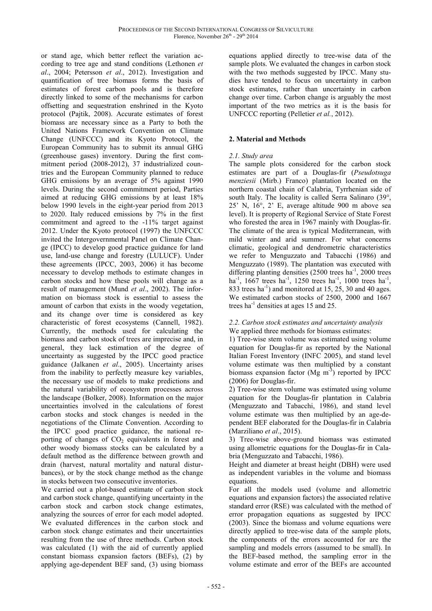or stand age, which better reflect the variation according to tree age and stand conditions (Lethonen *et al*., 2004; Petersson *et al*., 2012). Investigation and quantification of tree biomass forms the basis of estimates of forest carbon pools and is therefore directly linked to some of the mechanisms for carbon offsetting and sequestration enshrined in the Kyoto protocol (Pajtik, 2008). Accurate estimates of forest biomass are necessary since as a Party to both the United Nations Framework Convention on Climate Change (UNFCCC) and its Kyoto Protocol, the European Community has to submit its annual GHG (greenhouse gases) inventory. During the first commitment period (2008-2012), 37 industrialized countries and the European Community planned to reduce GHG emissions by an average of 5% against 1990 levels. During the second commitment period, Parties aimed at reducing GHG emissions by at least 18% below 1990 levels in the eight-year period from 2013 to 2020. Italy reduced emissions by 7% in the first commitment and agreed to the -11% target against 2012. Under the Kyoto protocol (1997) the UNFCCC invited the Intergovernmental Panel on Climate Change (IPCC) to develop good practice guidance for land use, land-use change and forestry (LULUCF). Under these agreements (IPCC, 2003, 2006) it has become necessary to develop methods to estimate changes in carbon stocks and how these pools will change as a result of management (Mund *et al*., 2002). The information on biomass stock is essential to assess the amount of carbon that exists in the woody vegetation, and its change over time is considered as key characteristic of forest ecosystems (Cannell, 1982). Currently, the methods used for calculating the biomass and carbon stock of trees are imprecise and, in general, they lack estimation of the degree of uncertainty as suggested by the IPCC good practice guidance (Jalkanen *et al*., 2005). Uncertainty arises from the inability to perfectly measure key variables, the necessary use of models to make predictions and the natural variability of ecosystem processes across the landscape (Bolker, 2008). Information on the major uncertainties involved in the calculations of forest carbon stocks and stock changes is needed in the negotiations of the Climate Convention. According to the IPCC good practice guidance, the national reporting of changes of  $CO<sub>2</sub>$  equivalents in forest and other woody biomass stocks can be calculated by a default method as the difference between growth and drain (harvest, natural mortality and natural disturbances), or by the stock change method as the change in stocks between two consecutive inventories.

We carried out a plot-based estimate of carbon stock and carbon stock change, quantifying uncertainty in the carbon stock and carbon stock change estimates, analyzing the sources of error for each model adopted. We evaluated differences in the carbon stock and carbon stock change estimates and their uncertainties resulting from the use of three methods. Carbon stock was calculated (1) with the aid of currently applied constant biomass expansion factors (BEFs), (2) by applying age-dependent BEF sand, (3) using biomass

equations applied directly to tree-wise data of the sample plots. We evaluated the changes in carbon stock with the two methods suggested by IPCC. Many studies have tended to focus on uncertainty in carbon stock estimates, rather than uncertainty in carbon change over time. Carbon change is arguably the most important of the two metrics as it is the basis for UNFCCC reporting (Pelletier *et al.*, 2012).

## **2. Material and Methods**

### *2.1. Study area*

The sample plots considered for the carbon stock estimates are part of a Douglas-fir (*Pseudotsuga menziesii* (Mirb.) Franco) plantation located on the northern coastal chain of Calabria, Tyrrhenian side of south Italy. The locality is called Serra Salinaro (39°, 25' N, 16°, 2' E, average altitude 900 m above sea level). It is property of Regional Service of State Forest who forested the area in 1967 mainly with Douglas-fir. The climate of the area is typical Mediterranean, with mild winter and arid summer. For what concerns climatic, geological and dendrometric characteristics we refer to Menguzzato and Tabacchi (1986) and Menguzzato (1989). The plantation was executed with differing planting densities (2500 trees ha<sup>-1</sup>, 2000 trees ha<sup>-1</sup>, 1667 trees ha<sup>-1</sup>, 1250 trees ha<sup>-1</sup>, 1000 trees ha<sup>-1</sup>, 833 trees  $ha^{-1}$ ) and monitored at 15, 25, 30 and 40 ages. We estimated carbon stocks of 2500, 2000 and 1667 trees ha<sup>-1</sup> densities at ages 15 and 25.

#### *2.2. Carbon stock estimates and uncertainty analysis*  We applied three methods for biomass estimates:

1) Tree-wise stem volume was estimated using volume equation for Douglas-fir as reported by the National Italian Forest Inventory (INFC 2005), and stand level volume estimate was then multiplied by a constant biomass expansion factor (Mg  $\text{m}^{-3}$ ) reported by IPCC (2006) for Douglas-fir.

2) Tree-wise stem volume was estimated using volume equation for the Douglas-fir plantation in Calabria (Menguzzato and Tabacchi, 1986), and stand level volume estimate was then multiplied by an age-dependent BEF elaborated for the Douglas-fir in Calabria (Marziliano *et al*., 2015).

3) Tree-wise above-ground biomass was estimated using allometric equations for the Douglas-fir in Calabria (Menguzzato and Tabacchi, 1986).

Height and diameter at breast height (DBH) were used as independent variables in the volume and biomass equations.

For all the models used (volume and allometric equations and expansion factors) the associated relative standard error (RSE) was calculated with the method of error propagation equations as suggested by IPCC (2003). Since the biomass and volume equations were directly applied to tree-wise data of the sample plots, the components of the errors accounted for are the sampling and models errors (assumed to be small). In the BEF-based method, the sampling error in the volume estimate and error of the BEFs are accounted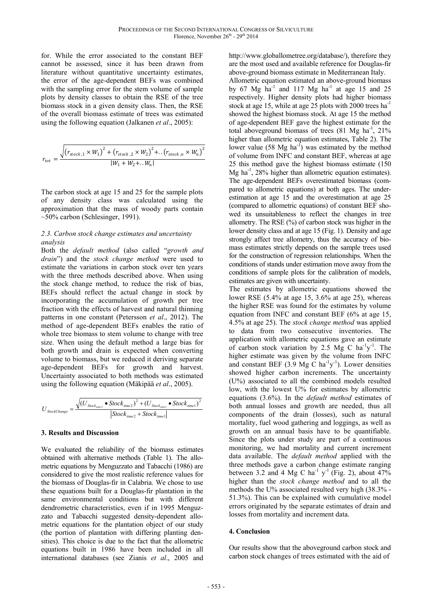for. While the error associated to the constant BEF cannot be assessed, since it has been drawn from literature without quantitative uncertainty estimates, the error of the age-dependent BEFs was combined with the sampling error for the stem volume of sample plots by density classes to obtain the RSE of the tree biomass stock in a given density class. Then, the RSE of the overall biomass estimate of trees was estimated using the following equation (Jalkanen *et al*., 2005):

$$
r_{tot} = \frac{\sqrt{\left(r_{stock,1} \times W_1\right)^2 + \left(r_{stock,2} \times W_2\right)^2 + ..\left(r_{stock,n} \times W_n\right)^2}}{|W_1 + W_2 + ..W_n|}
$$

The carbon stock at age 15 and 25 for the sample plots of any density class was calculated using the approximation that the mass of woody parts contain ~50% carbon (Schlesinger, 1991).

#### *2.3. Carbon stock change estimates and uncertainty analysis*

Both the *default method* (also called "*growth and drain*") and the *stock change method* were used to estimate the variations in carbon stock over ten years with the three methods described above. When using the stock change method, to reduce the risk of bias, BEFs should reflect the actual change in stock by incorporating the accumulation of growth per tree fraction with the effects of harvest and natural thinning patterns in one constant (Petersson *et al*., 2012). The method of age-dependent BEFs enables the ratio of whole tree biomass to stem volume to change with tree size. When using the default method a large bias for both growth and drain is expected when converting volume to biomass, but we reduced it deriving separate age-dependent BEFs for growth and harvest. Uncertainty associated to both methods was estimated using the following equation (Mäkipää *et al*., 2005).

$$
U_{\textit{StockChange}} = \frac{\sqrt{(U_{\textit{Stock}_\textit{time2}} \bullet \textit{Stock}_\textit{time2})^2 + (U_{\textit{Stock}_\textit{time1}} \bullet \textit{Stock}_\textit{time1})^2}}{|\textit{Stock}_\textit{time2} + \textit{Stock}_\textit{time1}|}
$$

#### **3. Results and Discussion**

We evaluated the reliability of the biomass estimates obtained with alternative methods (Table 1). The allometric equations by Menguzzato and Tabacchi (1986) are considered to give the most realistic reference values for the biomass of Douglas-fir in Calabria. We chose to use these equations built for a Douglas-fir plantation in the same environmental conditions but with different dendrometric characteristics, even if in 1995 Menguzzato and Tabacchi suggested density-dependent allometric equations for the plantation object of our study (the portion of plantation with differing planting densities). This choice is due to the fact that the allometric equations built in 1986 have been included in all international databases (see Zianis *et al*., 2005 and http://www.globallometree.org/database/), therefore they are the most used and available reference for Douglas-fir above-ground biomass estimate in Mediterranean Italy.

Allometric equation estimated an above-ground biomass by 67 Mg  $ha^{-1}$  and 117 Mg  $ha^{-1}$  at age 15 and 25 respectively. Higher density plots had higher biomass stock at age 15, while at age 25 plots with 2000 trees  $ha^{-1}$ showed the highest biomass stock. At age 15 the method of age-dependent BEF gave the highest estimate for the total aboveground biomass of trees  $(81 \text{ Mg} \text{ ha}^{-1}, 21\%)$ higher than allometric equation estimates, Table 2). The lower value  $(58 \text{ Mg} \text{ ha}^{-1})$  was estimated by the method of volume from INFC and constant BEF, whereas at age 25 this method gave the highest biomass estimate (150 Mg ha<sup>-1</sup>, 28% higher than allometric equation estimates). The age-dependent BEFs overestimated biomass (compared to allometric equations) at both ages. The underestimation at age 15 and the overestimation at age 25 (compared to allometric equations) of constant BEF showed its unsuitableness to reflect the changes in tree allometry. The RSE (%) of carbon stock was higher in the lower density class and at age 15 (Fig. 1). Density and age strongly affect tree allometry, thus the accuracy of biomass estimates strictly depends on the sample trees used for the construction of regression relationships. When the conditions of stands under estimation move away from the conditions of sample plots for the calibration of models, estimates are given with uncertainty.

The estimates by allometric equations showed the lower RSE (5.4% at age 15, 3.6% at age 25), whereas the higher RSE was found for the estimates by volume equation from INFC and constant BEF (6% at age 15, 4.5% at age 25). The *stock change method* was applied to data from two consecutive inventories. The application with allometric equations gave an estimate of carbon stock variation by 2.5 Mg C  $ha^{-1}y^{-1}$ . The higher estimate was given by the volume from INFC and constant BEF  $(3.9 \text{ Mg C ha}^{-1}y^{-1})$ . Lower densities showed higher carbon increments. The uncertainty (U%) associated to all the combined models resulted low, with the lowest U% for estimates by allometric equations (3.6%). In the *default method* estimates of both annual losses and growth are needed, thus all components of the drain (losses), such as natural mortality, fuel wood gathering and loggings, as well as growth on an annual basis have to be quantifiable. Since the plots under study are part of a continuous monitoring, we had mortality and current increment data available. The *default method* applied with the three methods gave a carbon change estimate ranging between 3.2 and 4 Mg C ha<sup>-1</sup> y<sup>-1</sup> (Fig. 2), about 47% higher than the *stock change method* and to all the methods the U% associated resulted very high (38.3% - 51.3%). This can be explained with cumulative model errors originated by the separate estimates of drain and losses from mortality and increment data.

#### **4. Conclusion**

Our results show that the aboveground carbon stock and carbon stock changes of trees estimated with the aid of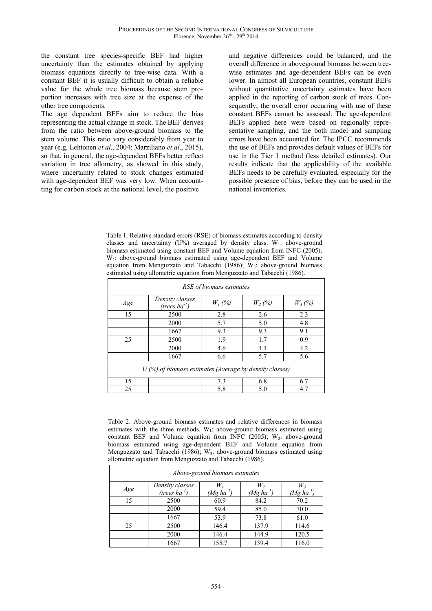the constant tree species-specific BEF had higher uncertainty than the estimates obtained by applying biomass equations directly to tree-wise data. With a constant BEF it is usually difficult to obtain a reliable value for the whole tree biomass because stem proportion increases with tree size at the expense of the other tree components.

The age dependent BEFs aim to reduce the bias representing the actual change in stock. The BEF derives from the ratio between above-ground biomass to the stem volume. This ratio vary considerably from year to year (e.g. Lehtonen *et al*., 2004; Marziliano *et al*., 2015), so that, in general, the age-dependent BEFs better reflect variation in tree allometry, as showed in this study, where uncertainty related to stock changes estimated with age-dependent BEF was very low. When accountting for carbon stock at the national level, the positive

and negative differences could be balanced, and the overall difference in aboveground biomass between treewise estimates and age-dependent BEFs can be even lower. In almost all European countries, constant BEFs without quantitative uncertainty estimates have been applied in the reporting of carbon stock of trees. Consequently, the overall error occurring with use of these constant BEFs cannot be assessed. The age-dependent BEFs applied here were based on regionally representative sampling, and the both model and sampling errors have been accounted for. The IPCC recommends the use of BEFs and provides default values of BEFs for use in the Tier 1 method (less detailed estimates). Our results indicate that the applicability of the available BEFs needs to be carefully evaluated, especially for the possible presence of bias, before they can be used in the national inventories.

Table 1. Relative standard errors (RSE) of biomass estimates according to density classes and uncertainty (U%) averaged by density class.  $W_1$ : above-ground biomass estimated using constant BEF and Volume equation from INFC (2005); W<sup>2</sup> : above-ground biomass estimated using age-dependent BEF and Volume equation from Menguzzato and Tabacchi (1986);  $W_3$ : above-ground biomass estimated using allometric equation from Menguzzato and Tabacchi (1986).

| RSE of biomass estimates                                  |                                       |           |          |          |  |  |  |
|-----------------------------------------------------------|---------------------------------------|-----------|----------|----------|--|--|--|
| Age                                                       | Density classes<br>(trees $ha^{-1}$ ) | $W_I$ (%) | $W_2(%)$ | $W_3(%)$ |  |  |  |
| 15                                                        | 2500                                  | 2.8       | 2.6      | 2.3      |  |  |  |
|                                                           | 2000                                  | 5.7       | 5.0      | 4.8      |  |  |  |
|                                                           | 1667                                  | 9.3       | 9.3      | 9.1      |  |  |  |
| 25                                                        | 2500                                  | 1.9       | 1.7      | 0.9      |  |  |  |
|                                                           | 2000                                  | 4.6       | 4.4      | 4.2      |  |  |  |
|                                                           | 1667                                  | 6.6       | 5.7      | 5.6      |  |  |  |
| $U$ (%) of biomass estimates (Average by density classes) |                                       |           |          |          |  |  |  |
| 15                                                        |                                       | 7.3       | 6.8      | 6.7      |  |  |  |
| 25                                                        |                                       | 5.8       | 5.0      | 4.7      |  |  |  |

Table 2. Above-ground biomass estimates and relative differences in biomass estimates with the three methods.  $W_1$ : above-ground biomass estimated using constant BEF and Volume equation from INFC (2005);  $W_2$ : above-ground biomass estimated using age-dependent BEF and Volume equation from Menguzzato and Tabacchi (1986);  $W_3$ : above-ground biomass estimated using allometric equation from Menguzzato and Tabacchi (1986).

| <i>Above-ground biomass estimates</i> |                                       |                         |                      |                         |  |  |
|---------------------------------------|---------------------------------------|-------------------------|----------------------|-------------------------|--|--|
| Age                                   | Density classes<br>(trees $ha^{-1}$ ) | $W_I$<br>$(Mg ha^{-1})$ | W,<br>$(Mg ha^{-1})$ | $W_3$<br>$(Mg ha^{-1})$ |  |  |
| 15                                    | 2500                                  | 60.9                    | 84.2                 | 70.2                    |  |  |
|                                       | 2000                                  | 59.4                    | 85.0                 | 70.0                    |  |  |
|                                       | 1667                                  | 53.9                    | 73.8                 | 61.0                    |  |  |
| 25                                    | 2500                                  | 146.4                   | 137.9                | 114.6                   |  |  |
|                                       | 2000                                  | 146.4                   | 144.9                | 120.5                   |  |  |
|                                       | 1667                                  | 155.7                   | 139.4                | 116.0                   |  |  |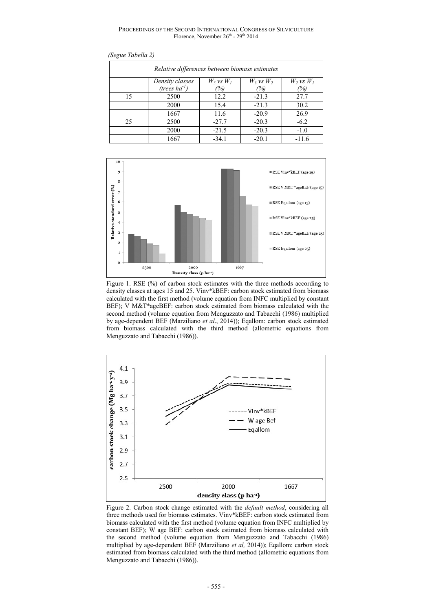PROCEEDINGS OF THE SECOND INTERNATIONAL CONGRESS OF SILVICULTURE Florence, November 26<sup>th</sup> - 29<sup>th</sup> 2014

| Relative differences between biomass estimates |                    |                |                |                |  |  |
|------------------------------------------------|--------------------|----------------|----------------|----------------|--|--|
|                                                | Density classes    | $W_3$ vs $W_1$ | $W_3$ vs $W_2$ | $W_2$ vs $W_1$ |  |  |
|                                                | (trees $ha^{-1}$ ) | (%)            | (%)            | (%)            |  |  |
| 15                                             | 2500               | 12.2           | $-21.3$        | 27.7           |  |  |
|                                                | 2000               | 15.4           | $-21.3$        | 30.2           |  |  |
|                                                | 1667               | 11.6           | $-20.9$        | 26.9           |  |  |
| 25                                             | 2500               | $-27.7$        | $-20.3$        | $-6.2$         |  |  |
|                                                | 2000               | $-21.5$        | $-20.3$        | $-1.0$         |  |  |
|                                                | 1667               | $-34.1$        | $-20.1$        | $-11.6$        |  |  |





Figure 1. RSE (%) of carbon stock estimates with the three methods according to density classes at ages 15 and 25. Vinv\*kBEF: carbon stock estimated from biomass calculated with the first method (volume equation from INFC multiplied by constant BEF); V M&T\*ageBEF: carbon stock estimated from biomass calculated with the second method (volume equation from Menguzzato and Tabacchi (1986) multiplied by age-dependent BEF (Marziliano *et al*., 2014)); Eqallom: carbon stock estimated from biomass calculated with the third method (allometric equations from Menguzzato and Tabacchi (1986)).



Figure 2. Carbon stock change estimated with the *default method*, considering all three methods used for biomass estimates. Vinv\*kBEF: carbon stock estimated from biomass calculated with the first method (volume equation from INFC multiplied by constant BEF); W age BEF: carbon stock estimated from biomass calculated with the second method (volume equation from Menguzzato and Tabacchi (1986) multiplied by age-dependent BEF (Marziliano *et al,* 2014)); Eqallom: carbon stock estimated from biomass calculated with the third method (allometric equations from Menguzzato and Tabacchi (1986)).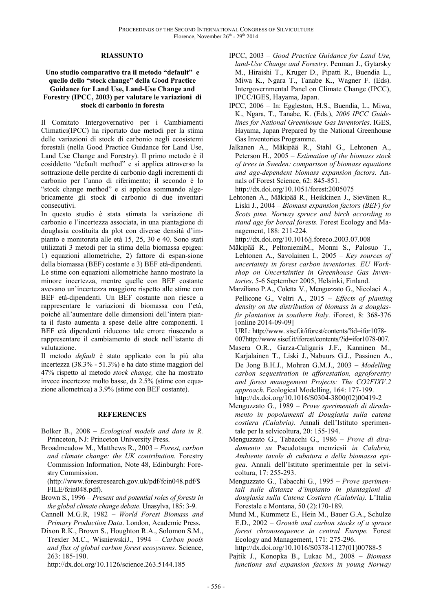#### **RIASSUNTO**

#### **Uno studio comparativo tra il metodo "default" e quello dello "stock change" della Good Practice Guidance for Land Use, Land-Use Change and Forestry (IPCC, 2003) per valutare le variazioni di stock di carbonio in foresta**

Il Comitato Intergovernativo per i Cambiamenti Climatici(IPCC) ha riportato due metodi per la stima delle variazioni di stock di carbonio negli ecosistemi forestali (nella Good Practice Guidance for Land Use, Land Use Change and Forestry). Il primo metodo è il cosiddetto "default method" e si applica attraverso la sottrazione delle perdite di carbonio dagli incrementi di carbonio per l'anno di riferimento; il secondo è lo "stock change method" e si applica sommando algebricamente gli stock di carbonio di due inventari consecutivi.

In questo studio è stata stimata la variazione di carbonio e l'incertezza associata, in una piantagione di douglasia costituita da plot con diverse densità d'impianto e monitorata alle età 15, 25, 30 e 40. Sono stati utilizzati 3 metodi per la stima della biomassa epigea: 1) equazioni allometriche, 2) fattore di espan-sione della biomassa (BEF) costante e 3) BEF età-dipendenti. Le stime con equazioni allometriche hanno mostrato la minore incertezza, mentre quelle con BEF costante avevano un'incertezza maggiore rispetto alle stime con BEF età-dipendenti. Un BEF costante non riesce a rappresentare le variazioni di biomassa con l'età, poiché all'aumentare delle dimensioni dell'intera pianta il fusto aumenta a spese delle altre componenti. I BEF età dipendenti riducono tale errore riuscendo a rappresentare il cambiamento di stock nell'istante di valutazione.

Il metodo *default* è stato applicato con la più alta incertezza (38.3% - 51.3%) e ha dato stime maggiori del 47% rispetto al metodo *stock change,* che ha mostrato invece incertezze molto basse, da 2.5% (stime con equazione allometrica) a 3.9% (stime con BEF costante).

#### **REFERENCES**

- Bolker B., 2008 *Ecological models and data in R.* Princeton, NJ: Princeton University Press.
- Broadmeadow M., Matthews R., 2003 *Forest, carbon and climate change: the UK contribution.* Forestry Commission Information, Note 48, Edinburgh: Forestry Commission.

(http://www.forestresearch.gov.uk/pdf/fcin048.pdf/\$ FILE/fcin048.pdf).

- Brown S., 1996 *Present and potential roles of forests in the global climate change debate*. Unasylva, 185: 3-9.
- Cannell M.G.R, 1982 *World Forest Biomass and Primary Production Data*. London, Academic Press.
- Dixon R.K., Brown S., Houghton R.A., Solomon S.M., Trexler M.C., WisniewskiJ., 1994 – *Carbon pools and flux of global carbon forest ecosystems*. Science, 263: 185-190.

http://dx.doi.org/10.1126/science.263.5144.185

- IPCC, 2003  *Good Practice Guidance for Land Use, land-Use Change and Forestry*. Penman J., Gytarsky M., Hiraishi T., Kruger D., Pipatti R., Buendia L., Miwa K., Ngara T., Tanabe K., Wagner F. (Eds). Intergovernmental Panel on Climate Change (IPCC), IPCC/IGES, Hayama, Japan.
- IPCC, 2006 In: Eggleston, H.S., Buendia, L., Miwa, K., Ngara, T., Tanabe, K. (Eds.), *2006 IPCC Guidelines for National Greenhouse Gas Inventories*. IGES, Hayama, Japan Prepared by the National Greenhouse Gas Inventories Programme.
- Jalkanen A., Mäkipää R., Stahl G., Lehtonen A., Peterson H., 2005 – *Estimation of the biomass stock of trees in Sweden: comparison of biomass equations and age-dependent biomass expansion factors*. Annals of Forest Science, 62: 845-851.
	- http://dx.doi.org/10.1051/forest:2005075
- Lehtonen A., Mäkipää R., Heikkinen J., Sievänen R., Liski J., 2004 – *Biomass expansion factors (BEF) for Scots pine. Norway spruce and birch according to stand age for boreal forests.* Forest Ecology and Management, 188: 211-224.

http://dx.doi.org/10.1016/j.foreco.2003.07.008

- Mäkipää R., PeltoniemiM., Monni S., Palosuo T., Lehtonen A., Savolainen I., 2005 – *Key sources of uncertainty in forest carbon inventories. EU Workshop on Uncertainties in Greenhouse Gas Inventories*. 5-6 September 2005, Helsinki, Finland.
- Marziliano P.A., Coletta V., Menguzzato G., Nicolaci A., Pellicone G., Veltri A., 2015 – *Effects of planting density on the distribution of biomass in a douglasfir plantation in southern Italy*. iForest, 8: 368-376 [online 2014-09-09]

URL: http://www. sisef.it/iforest/contents/?id=ifor1078- 007http://www.sisef.it/iforest/contents/?id=ifor1078-007.

- Masera O.R., Garza-Caligaris J.F., Kanninen M., Karjalainen T., Liski J., Nabuurs G.J., Passinen A., De Jong B.H.J., Mohren G.M.J., 2003 – *Modelling carbon sequestration in afforestation, agroforestry and forest management Projects: The CO2FIXV.2 approach.* Ecological Modelling, 164: 177-199. http://dx.doi.org/10.1016/S0304-3800(02)00419-2
- Menguzzato G., 1989 *Prove sperimentali di diradamento in popolamenti di Douglasia sulla catena costiera (Calabria).* Annali dell'Istituto sperimentale per la selvicoltura, 20: 155-194.
- Menguzzato G., Tabacchi G., 1986 *Prove di diradamento su* Pseudotsuga menziesii *in Calabria, Ambiente tavole di cubatura e della biomassa epigea*. Annali dell'Istituto sperimentale per la selvicoltura, 17: 255-293.
- Menguzzato G., Tabacchi G., 1995 *Prove sperimentali sulle distanze d'impianto in piantagioni di douglasia sulla Catena Costiera (Calabria).* L'Italia Forestale e Montana, 50 (2):170-189.
- Mund M., Kummetz E., Hein M., Bauer G.A., Schulze E.D., 2002 – *Growth and carbon stocks of a spruce forest chronosequence in central Europe.* Forest Ecology and Management, 171: 275-296. http://dx.doi.org/10.1016/S0378-1127(01)00788-5
- Pajtik J., Konopka B., Lukac M., 2008 *Biomass functions and expansion factors in young Norway*